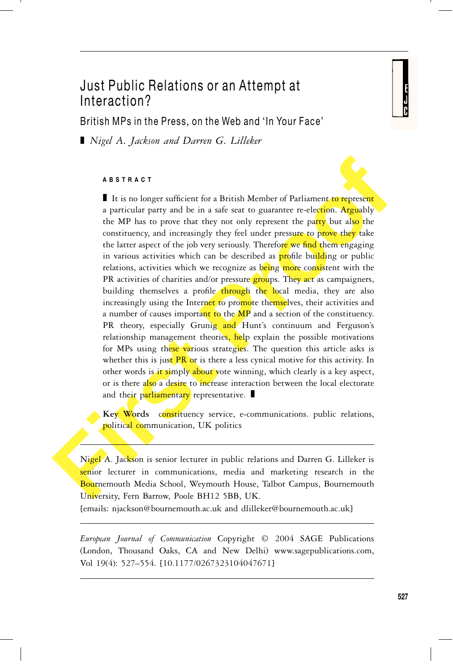# Just Public Relations or an Attempt at Interaction?

British MPs in the Press, on the Web and 'In Your Face'

■ *Nigel A. Jackson and Darren G. Lilleker* 

## **ABSTRACT**

**Figure 1**<br> **Figure 1 Figure 1 Figure 1 Example 1 C Example 1 C EXECUTE: Figure 1 EXECUTE: Figure 1 Figure 1 C Figure 1 Figure 1 C Figure 1 C Figure 1 C Figure 1 C Figure 1 C** It is no longer sufficient for a British Member of Parliament to represent a particular party and be in a safe seat to guarantee re-election. Arguably the MP has to prove that they not only represent the party but also the constituency, and increasingly they feel under pressure to prove they take the latter aspect of the job very seriously. Therefore we find them engaging in various activities which can be described as **profile** building or public relations, activities which we recognize as being more consistent with the PR activities of charities and/or pressure groups. They act as campaigners, building themselves a profile through the local media, they are also increasingly using the Internet to promote themselves, their activities and a number of causes important to the MP and a section of the constituency. PR theory, especially Grunig and Hunt's continuum and Ferguson's relationship management theories, help explain the possible motivations for MPs using these various strategies. The question this article asks is whether this is just  $PR$  or is there a less cynical motive for this activity. In other words is it simply about vote winning, which clearly is a key aspect, or is there also a desire to increase interaction between the local electorate and their parliamentary representative.

**Key Words** constituency service, e-communications. public relations, political communication, UK politics

Nigel A. Jackson is senior lecturer in public relations and Darren G. Lilleker is senior lecturer in communications, media and marketing research in the Bournemouth Media School, Weymouth House, Talbot Campus, Bournemouth University, Fern Barrow, Poole BH12 5BB, UK.

[emails: njackson@bournemouth.ac.uk and dlilleker@bournemouth.ac.uk]

*European Journal of Communication* Copyright © 2004 SAGE Publications (London, Thousand Oaks, CA and New Delhi) www.sagepublications.com, Vol 19(4): 527–554. [10.1177/0267323104047671]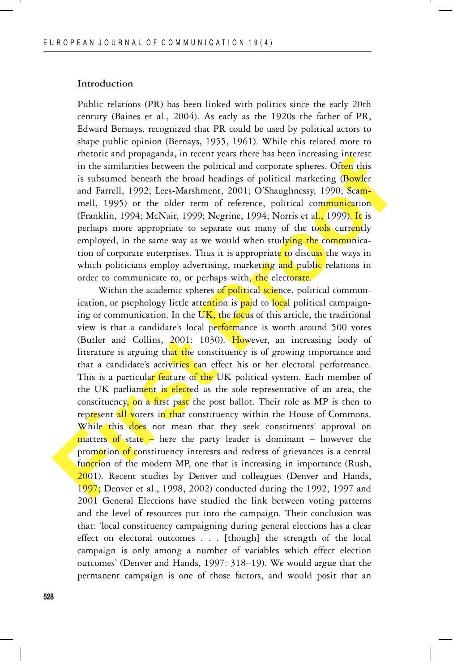# **Introduction**

Public relations (PR) has been linked with politics since the early 20th century (Baines et al., 2004). As early as the 1920s the father of PR, Edward Bernays, recognized that PR could be used by political actors to shape public opinion (Bernays, 1955, 1961). While this related more to rhetoric and propaganda, in recent years there has been increasing interest in the similarities between the political and corporate spheres. Often this is subsumed beneath the broad headings of political marketing (Bowler and Farrell, 1992; Lees-Marshment, 2001; O'Shaughnessy, 1990; Scammell, 1995) or the older term of reference, political communication (Franklin, 1994; McNair, 1999; Negrine, 1994; Norris et al., 1999). It is perhaps more appropriate to separate out many of the tools currently employed, in the same way as we would when studying the communication of corporate enterprises. Thus it is appropriate to discuss the ways in which politicians employ advertising, marketing and public relations in order to communicate to, or perhaps with, the electorate.

incute the similarities between the political and corporate spheres. Often this<br>is subsumed beneath the broad headings of political marketing (Bowler<br>and Farrell, 1992; Lees-Marshment, 2001; O'Shaughensy, 1990; Scam-<br>mell, Within the academic spheres of political science, political communication, or psephology little attention is paid to local political campaigning or communication. In the  $UK$ , the focus of this article, the traditional view is that a candidate's local performance is worth around 500 votes (Butler and Collins, 2001: 1030). However, an increasing body of literature is arguing that the constituency is of growing importance and that a candidate's activities can effect his or her electoral performance. This is a particular feature of the UK political system. Each member of the UK parliament is elected as the sole representative of an area, the constituency, on a first past the post ballot. Their role as MP is then to represent all voters in that constituency within the House of Commons. While this does not mean that they seek constituents' approval on matters of state – here the party leader is dominant – however the promotion of constituency interests and redress of grievances is a central function of the modern MP, one that is increasing in importance (Rush, 2001). Recent studies by Denver and colleagues (Denver and Hands, 1997; Denver et al., 1998, 2002) conducted during the 1992, 1997 and 2001 General Elections have studied the link between voting patterns and the level of resources put into the campaign. Their conclusion was that: 'local constituency campaigning during general elections has a clear effect on electoral outcomes . . . [though] the strength of the local campaign is only among a number of variables which effect election outcomes' (Denver and Hands, 1997: 318–19). We would argue that the permanent campaign is one of those factors, and would posit that an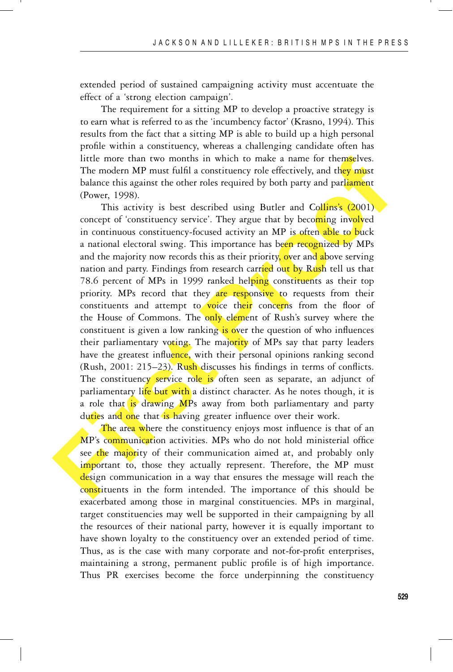extended period of sustained campaigning activity must accentuate the effect of a 'strong election campaign'.

The requirement for a sitting MP to develop a proactive strategy is to earn what is referred to as the 'incumbency factor' (Krasno, 1994). This results from the fact that a sitting MP is able to build up a high personal profile within a constituency, whereas a challenging candidate often has little more than two months in which to make a name for themselves. The modern MP must fulfil a constituency role effectively, and they must balance this against the other roles required by both party and parliament (Power, 1998).

Irthe more than two months in which to make a name lor themselves.<br>The modern MP must fulfil a constituency role effectively, and they must<br>balance this against the other roles required by both party and parliament<br>(Power, This activity is best described using Butler and Collins's (2001) concept of 'constituency service'. They argue that by becoming involved in continuous constituency-focused activity an MP is often able to buck a national electoral swing. This importance has been recognized by MPs and the majority now records this as their priority, over and above serving nation and party. Findings from research carried out by Rush tell us that 78.6 percent of MPs in 1999 ranked helping constituents as their top priority. MPs record that they are responsive to requests from their constituents and attempt to voice their concerns from the floor of the House of Commons. The only element of Rush's survey where the constituent is given a low ranking is over the question of who influences their parliamentary voting. The majority of MPs say that party leaders have the greatest influence, with their personal opinions ranking second (Rush, 2001: 215–23). Rush discusses his findings in terms of conflicts. The constituency service role is often seen as separate, an adjunct of parliamentary life but with a distinct character. As he notes though, it is a role that is drawing MPs away from both parliamentary and party duties and one that is having greater influence over their work.

The area where the constituency enjoys most influence is that of an MP's communication activities. MPs who do not hold ministerial office see the majority of their communication aimed at, and probably only important to, those they actually represent. Therefore, the MP must design communication in a way that ensures the message will reach the constituents in the form intended. The importance of this should be exacerbated among those in marginal constituencies. MPs in marginal, target constituencies may well be supported in their campaigning by all the resources of their national party, however it is equally important to have shown loyalty to the constituency over an extended period of time. Thus, as is the case with many corporate and not-for-profit enterprises, maintaining a strong, permanent public profile is of high importance. Thus PR exercises become the force underpinning the constituency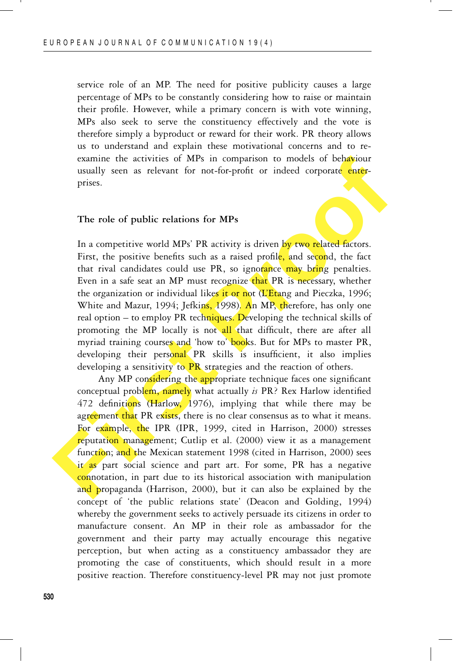service role of an MP. The need for positive publicity causes a large percentage of MPs to be constantly considering how to raise or maintain their profile. However, while a primary concern is with vote winning, MPs also seek to serve the constituency effectively and the vote is therefore simply a byproduct or reward for their work. PR theory allows us to understand and explain these motivational concerns and to reexamine the activities of MPs in comparison to models of behaviour usually seen as relevant for not-for-profit or indeed corporate enterprises.

#### **The role of public relations for MPs**

examine the activities of MPs in comparison to models of behaviour<br>usually seen as relevant for not-for-profit or indeed corporate enter-<br>prises.<br>The role of public relations for MPs<br>in a competitive world MPs' PR activity In a competitive world MPs' PR activity is driven by two related factors. First, the positive benefits such as a raised profile, and second, the fact that rival candidates could use PR, so ignorance may bring penalties. Even in a safe seat an MP must recognize that PR is necessary, whether the organization or individual likes it or not (L'Etang and Pieczka, 1996; White and Mazur, 1994; Jefkins, 1998). An MP, therefore, has only one real option – to employ PR techniques. Developing the technical skills of promoting the MP locally is not all that difficult, there are after all myriad training courses and 'how to' books. But for MPs to master PR, developing their personal PR skills is insufficient, it also implies developing a sensitivity to  $PR$  strategies and the reaction of others.

Any MP considering the appropriate technique faces one significant conceptual problem, namely what actually *is* PR? Rex Harlow identified 472 definitions (Harlow, 1976), implying that while there may be agreement that PR exists, there is no clear consensus as to what it means. For example, the IPR (IPR, 1999, cited in Harrison, 2000) stresses reputation management; Cutlip et al. (2000) view it as a management function; and the Mexican statement 1998 (cited in Harrison, 2000) sees it as part social science and part art. For some, PR has a negative connotation, in part due to its historical association with manipulation and propaganda (Harrison, 2000), but it can also be explained by the concept of 'the public relations state' (Deacon and Golding, 1994) whereby the government seeks to actively persuade its citizens in order to manufacture consent. An MP in their role as ambassador for the government and their party may actually encourage this negative perception, but when acting as a constituency ambassador they are promoting the case of constituents, which should result in a more positive reaction. Therefore constituency-level PR may not just promote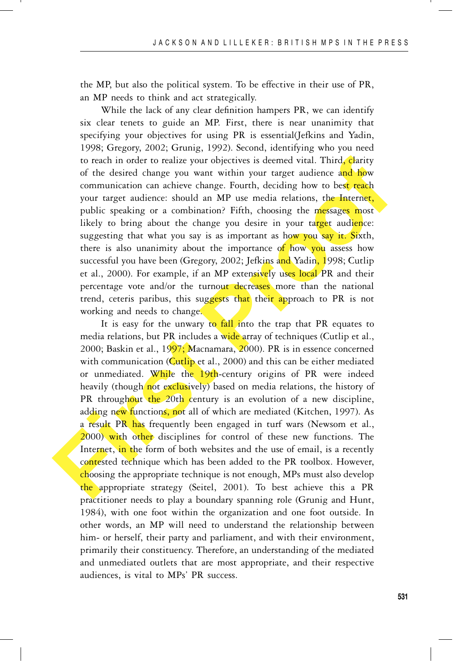the MP, but also the political system. To be effective in their use of PR, an MP needs to think and act strategically.

While the lack of any clear definition hampers PR, we can identify six clear tenets to guide an MP. First, there is near unanimity that specifying your objectives for using PR is essential(Jefkins and Yadin, 1998; Gregory, 2002; Grunig, 1992). Second, identifying who you need to reach in order to realize your objectives is deemed vital. Third, clarity of the desired change you want within your target audience and how communication can achieve change. Fourth, deciding how to best reach your target audience: should an MP use media relations, the Internet, public speaking or a combination? Fifth, choosing the messages most likely to bring about the change you desire in your target audience: suggesting that what you say is as important as how you say it. Sixth, there is also unanimity about the importance of how you assess how successful you have been (Gregory, 2002; Jefkins and Yadin, 1998; Cutlip et al., 2000). For example, if an MP extensively uses local PR and their percentage vote and/or the turnout decreases more than the national trend, ceteris paribus, this suggests that their approach to PR is not working and needs to change.

to reach in order to realize your objectives is deemed viral. Third, clarity<br>of the desired change you want within your target addince and how<br>communication can achieve change. Fourth, deciding how to best reach<br>your range It is easy for the unwary to fall into the trap that PR equates to media relations, but PR includes a wide array of techniques (Cutlip et al., 2000; Baskin et al., 1997; Macnamara, 2000). PR is in essence concerned with communication ( $\overline{\text{Cutlip}}$  et al., 2000) and this can be either mediated or unmediated. While the 19th-century origins of PR were indeed heavily (though not exclusively) based on media relations, the history of PR throughout the 20th century is an evolution of a new discipline, adding new functions, not all of which are mediated (Kitchen, 1997). As a result PR has frequently been engaged in turf wars (Newsom et al., 2000) with other disciplines for control of these new functions. The Internet, in the form of both websites and the use of email, is a recently contested technique which has been added to the PR toolbox. However, choosing the appropriate technique is not enough, MPs must also develop the appropriate strategy (Seitel, 2001). To best achieve this a PR practitioner needs to play a boundary spanning role (Grunig and Hunt, 1984), with one foot within the organization and one foot outside. In other words, an MP will need to understand the relationship between him- or herself, their party and parliament, and with their environment, primarily their constituency. Therefore, an understanding of the mediated and unmediated outlets that are most appropriate, and their respective audiences, is vital to MPs' PR success.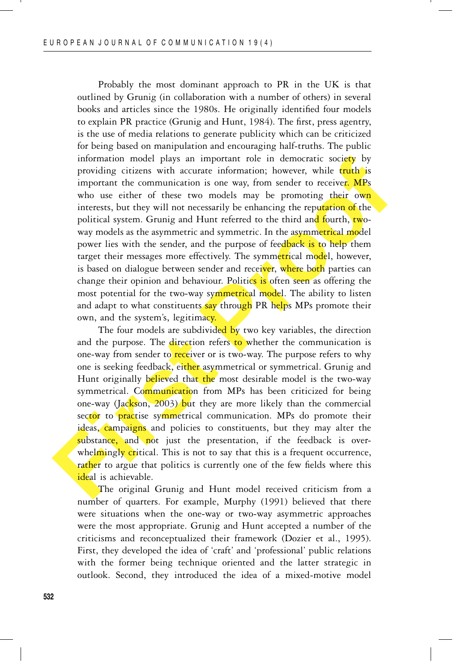information model plays an important role in democrate society by<br>providing citizens with accurate information; however, while **truth** is<br>important the communication is one way, from sender to receiver. MPs<br>who use either Probably the most dominant approach to PR in the UK is that outlined by Grunig (in collaboration with a number of others) in several books and articles since the 1980s. He originally identified four models to explain PR practice (Grunig and Hunt, 1984). The first, press agentry, is the use of media relations to generate publicity which can be criticized for being based on manipulation and encouraging half-truths. The public information model plays an important role in democratic society by providing citizens with accurate information; however, while truth is important the communication is one way, from sender to receiver. MPs who use either of these two models may be promoting their own interests, but they will not necessarily be enhancing the reputation of the political system. Grunig and Hunt referred to the third and fourth, twoway models as the asymmetric and symmetric. In the asymmetrical model power lies with the sender, and the purpose of feedback is to help them target their messages more effectively. The symmetrical model, however, is based on dialogue between sender and receiver, where both parties can change their opinion and behaviour. Politics is often seen as offering the most potential for the two-way symmetrical model. The ability to listen and adapt to what constituents say through PR helps MPs promote their own, and the system's, legitimacy.

The four models are subdivided by two key variables, the direction and the purpose. The direction refers to whether the communication is one-way from sender to receiver or is two-way. The purpose refers to why one is seeking feedback, either asymmetrical or symmetrical. Grunig and Hunt originally believed that the most desirable model is the two-way symmetrical. Communication from MPs has been criticized for being one-way (Jackson, 2003) but they are more likely than the commercial sector to practise symmetrical communication. MPs do promote their ideas, campaigns and policies to constituents, but they may alter the substance, and not just the presentation, if the feedback is overwhelmingly critical. This is not to say that this is a frequent occurrence, rather to argue that politics is currently one of the few fields where this ideal is achievable.

The original Grunig and Hunt model received criticism from a number of quarters. For example, Murphy (1991) believed that there were situations when the one-way or two-way asymmetric approaches were the most appropriate. Grunig and Hunt accepted a number of the criticisms and reconceptualized their framework (Dozier et al., 1995). First, they developed the idea of 'craft' and 'professional' public relations with the former being technique oriented and the latter strategic in outlook. Second, they introduced the idea of a mixed-motive model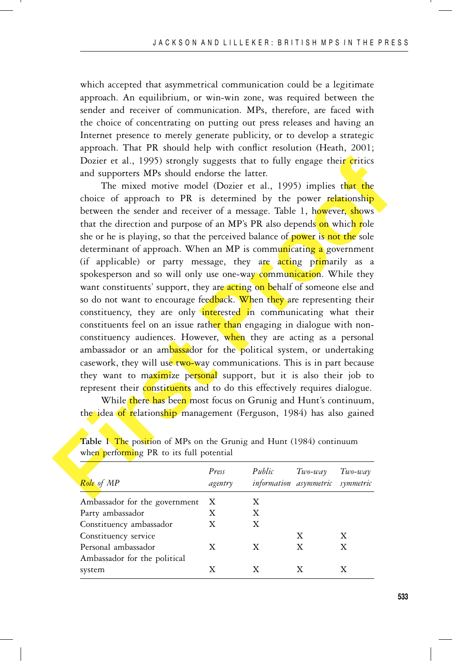which accepted that asymmetrical communication could be a legitimate approach. An equilibrium, or win-win zone, was required between the sender and receiver of communication. MPs, therefore, are faced with the choice of concentrating on putting out press releases and having an Internet presence to merely generate publicity, or to develop a strategic approach. That PR should help with conflict resolution (Heath, 2001; Dozier et al., 1995) strongly suggests that to fully engage their critics and supporters MPs should endorse the latter.

Dozier et al., 1995) strongly suggests that to fully engage their **critics**<br>and supporters MPs should endots the latter.<br>The mixed mortive model (Dozier et al., 1995) implies that the<br>choice of approach to PR is determined The mixed motive model (Dozier et al., 1995) implies that the choice of approach to PR is determined by the power relationship between the sender and receiver of a message. Table 1, however, shows that the direction and purpose of an MP's PR also depends on which role she or he is playing, so that the perceived balance of power is not the sole determinant of approach. When an MP is communicating a government (if applicable) or party message, they are acting primarily as a spokesperson and so will only use one-way communication. While they want constituents' support, they are acting on behalf of someone else and so do not want to encourage feedback. When they are representing their constituency, they are only interested in communicating what their constituents feel on an issue rather than engaging in dialogue with nonconstituency audiences. However, when they are acting as a personal ambassador or an ambassador for the political system, or undertaking casework, they will use two-way communications. This is in part because they want to maximize personal support, but it is also their job to represent their **constituents** and to do this effectively requires dialogue.

While there has been most focus on Grunig and Hunt's continuum, the idea of relationship management (Ferguson, 1984) has also gained

| Role of MP                    | Press<br>agentry | Public | Two-way<br>information asymmetric symmetric | $Two-way$ |
|-------------------------------|------------------|--------|---------------------------------------------|-----------|
| Ambassador for the government | X                | X      |                                             |           |
| Party ambassador              | X                | X      |                                             |           |
| Constituency ambassador       | X                | X      |                                             |           |
| Constituency service          |                  |        | X                                           | X         |
| Personal ambassador           | X                | X      | X                                           | X         |
| Ambassador for the political  |                  |        |                                             |           |
| system                        | X                | X      | X                                           | X         |

Table 1 The position of MPs on the Grunig and Hunt (1984) continuum when performing PR to its full potential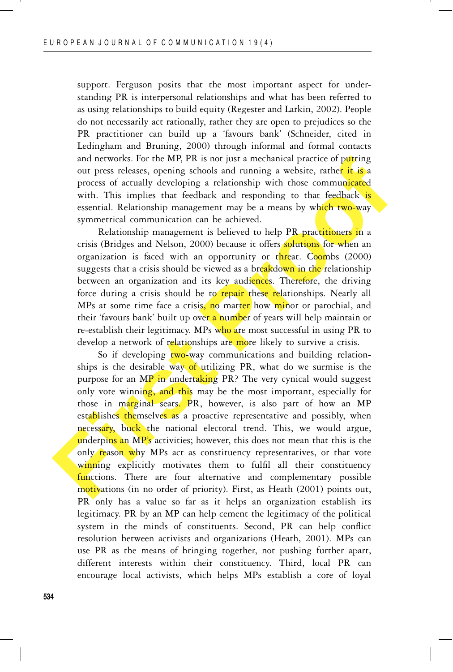support. Ferguson posits that the most important aspect for understanding PR is interpersonal relationships and what has been referred to as using relationships to build equity (Regester and Larkin, 2002). People do not necessarily act rationally, rather they are open to prejudices so the PR practitioner can build up a 'favours bank' (Schneider, cited in Ledingham and Bruning, 2000) through informal and formal contacts and networks. For the MP, PR is not just a mechanical practice of putting out press releases, opening schools and running a website, rather it is a process of actually developing a relationship with those communicated with. This implies that feedback and responding to that feedback is essential. Relationship management may be a means by which two-way symmetrical communication can be achieved.

Relationship management is believed to help PR practitioners in a crisis (Bridges and Nelson, 2000) because it offers solutions for when an organization is faced with an opportunity or threat. Coombs (2000) suggests that a crisis should be viewed as a breakdown in the relationship between an organization and its key audiences. Therefore, the driving force during a crisis should be to repair these relationships. Nearly all MPs at some time face a crisis, no matter how minor or parochial, and their 'favours bank' built up over a number of years will help maintain or re-establish their legitimacy. MPs who are most successful in using PR to develop a network of relationships are more likely to survive a crisis.

and networks. For the MP, PR is not just a mechanical practice of putting<br>out press releases, opening schools and running a website, rathet it is a<br>process of actually developing a relationship with those communicated<br>with So if developing  $two$ -way communications and building relationships is the desirable way of utilizing PR, what do we surmise is the purpose for an MP in undertaking PR? The very cynical would suggest only vote winning, and this may be the most important, especially for those in marginal seats. PR, however, is also part of how an MP establishes themselves as a proactive representative and possibly, when necessary, buck the national electoral trend. This, we would argue, underpins an MP's activities; however, this does not mean that this is the only reason why MPs act as constituency representatives, or that vote winning explicitly motivates them to fulfil all their constituency functions. There are four alternative and complementary possible motivations (in no order of priority). First, as Heath (2001) points out, PR only has a value so far as it helps an organization establish its legitimacy. PR by an MP can help cement the legitimacy of the political system in the minds of constituents. Second, PR can help conflict resolution between activists and organizations (Heath, 2001). MPs can use PR as the means of bringing together, not pushing further apart, different interests within their constituency. Third, local PR can encourage local activists, which helps MPs establish a core of loyal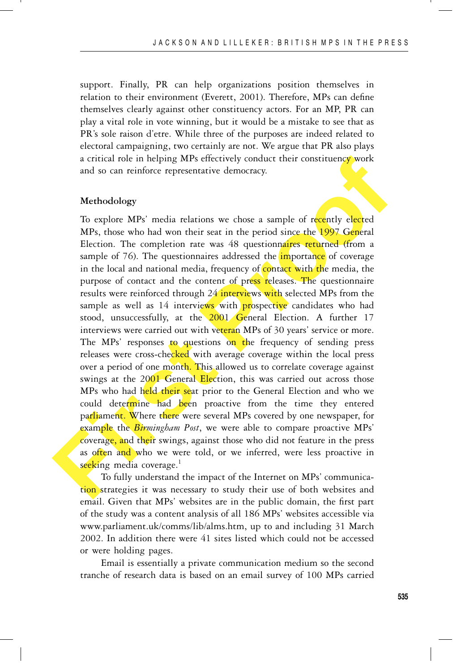support. Finally, PR can help organizations position themselves in relation to their environment (Everett, 2001). Therefore, MPs can define themselves clearly against other constituency actors. For an MP, PR can play a vital role in vote winning, but it would be a mistake to see that as PR's sole raison d'etre. While three of the purposes are indeed related to electoral campaigning, two certainly are not. We argue that PR also plays a critical role in helping MPs effectively conduct their constituency work and so can reinforce representative democracy.

## **Methodology**

a critical role in helping MPs effectively conduct their constituency work<br>and so can reinforce representative democracy.<br> **Methodology**<br>
To explore MPs' media relations we chose a sample of recently elected<br>
MPs, those wh To explore MPs' media relations we chose a sample of recently elected MPs, those who had won their seat in the period since the 1997 General Election. The completion rate was 48 questionnaires returned (from a sample of 76). The questionnaires addressed the *importance* of coverage in the local and national media, frequency of contact with the media, the purpose of contact and the content of press releases. The questionnaire results were reinforced through 24 interviews with selected MPs from the sample as well as 14 interviews with prospective candidates who had stood, unsuccessfully, at the 2001 General Election. A further 17 interviews were carried out with veteran MPs of 30 years' service or more. The MPs' responses to questions on the frequency of sending press releases were cross-checked with average coverage within the local press over a period of one month. This allowed us to correlate coverage against swings at the 2001 General Election, this was carried out across those MPs who had held their seat prior to the General Election and who we could determine had been proactive from the time they entered parliament. Where there were several MPs covered by one newspaper, for example the *Birmingham Post*, we were able to compare proactive MPs' coverage, and their swings, against those who did not feature in the press as often and who we were told, or we inferred, were less proactive in seeking media coverage.<sup>1</sup>

To fully understand the impact of the Internet on MPs' communication strategies it was necessary to study their use of both websites and email. Given that MPs' websites are in the public domain, the first part of the study was a content analysis of all 186 MPs' websites accessible via www.parliament.uk/comms/lib/alms.htm, up to and including 31 March 2002. In addition there were 41 sites listed which could not be accessed or were holding pages.

Email is essentially a private communication medium so the second tranche of research data is based on an email survey of 100 MPs carried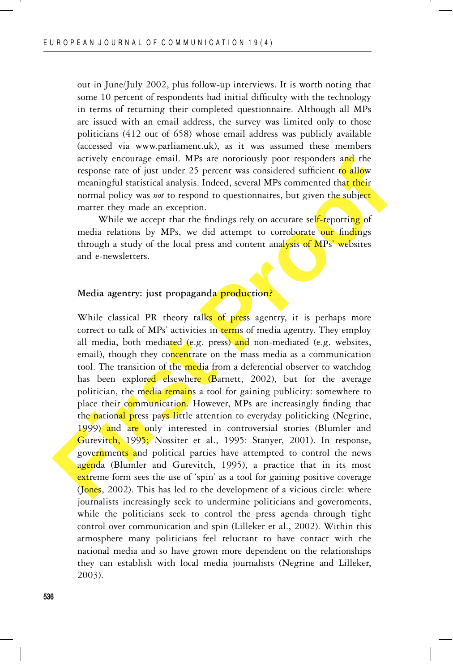out in June/July 2002, plus follow-up interviews. It is worth noting that some 10 percent of respondents had initial difficulty with the technology in terms of returning their completed questionnaire. Although all MPs are issued with an email address, the survey was limited only to those politicians (412 out of 658) whose email address was publicly available (accessed via www.parliament.uk), as it was assumed these members actively encourage email. MPs are notoriously poor responders and the response rate of just under 25 percent was considered sufficient to allow meaningful statistical analysis. Indeed, several MPs commented that their normal policy was *not* to respond to questionnaires, but given the subject matter they made an exception.

While we accept that the findings rely on accurate self-reporting of media relations by MPs, we did attempt to corroborate our findings through a study of the local press and content analysis of MPs' websites and e-newsletters.

# **Media agentry: just propaganda production?**

actively encourage email. MPs are notorously poor tesponders and the<br>response rate of just under 25 percent was considered sufficient to allow<br>meaningful statistical analysis. Indeed, several MPs commented that their<br>norma While classical PR theory talks of press agentry, it is perhaps more correct to talk of MPs' activities in terms of media agentry. They employ all media, both mediated (e.g. press) and non-mediated (e.g. websites, email), though they concentrate on the mass media as a communication tool. The transition of the media from a deferential observer to watchdog has been explored elsewhere (Barnett, 2002), but for the average politician, the media remains a tool for gaining publicity: somewhere to place their communication. However, MPs are increasingly finding that the national press pays little attention to everyday politicking (Negrine, 1999) and are only interested in controversial stories (Blumler and Gurevitch, 1995; Nossiter et al., 1995: Stanyer, 2001). In response, governments and political parties have attempted to control the news agenda (Blumler and Gurevitch, 1995), a practice that in its most extreme form sees the use of 'spin' as a tool for gaining positive coverage (Jones, 2002). This has led to the development of a vicious circle: where journalists increasingly seek to undermine politicians and governments, while the politicians seek to control the press agenda through tight control over communication and spin (Lilleker et al., 2002). Within this atmosphere many politicians feel reluctant to have contact with the national media and so have grown more dependent on the relationships they can establish with local media journalists (Negrine and Lilleker, 2003).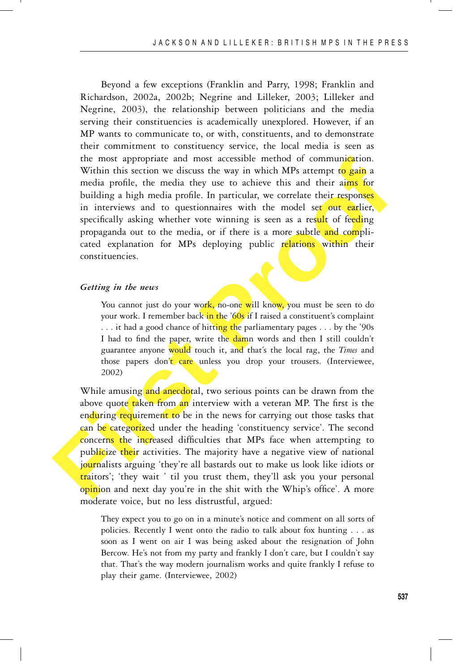Beyond a few exceptions (Franklin and Parry, 1998; Franklin and Richardson, 2002a, 2002b; Negrine and Lilleker, 2003; Lilleker and Negrine, 2003), the relationship between politicians and the media serving their constituencies is academically unexplored. However, if an MP wants to communicate to, or with, constituents, and to demonstrate their commitment to constituency service, the local media is seen as the most appropriate and most accessible method of communication. Within this section we discuss the way in which MPs attempt to gain a media profile, the media they use to achieve this and their aims for building a high media profile. In particular, we correlate their responses in interviews and to questionnaires with the model set out earlier, specifically asking whether vote winning is seen as a result of feeding propaganda out to the media, or if there is a more subtle and complicated explanation for MPs deploying public relations within their constituencies.

#### *Getting in the news*

You cannot just do your work, no-one will know, you must be seen to do your work. I remember back in the '60s if I raised a constituent's complaint ... it had a good chance of hitting the parliamentary pages ... by the '90s I had to find the paper, write the damn words and then I still couldn't guarantee anyone would touch it, and that's the local rag, the *Times* and those papers don't care unless you drop your trousers. (Interviewee, 2002)

the most appropriate and most accessible method of communication.<br>Within this section we discuss the way in which MPs attempt to gain a<br>media profile, the media they use to achieve this and their aims for<br>building a high m While amusing and anecdotal, two serious points can be drawn from the above quote taken from an interview with a veteran MP. The first is the enduring requirement to be in the news for carrying out those tasks that can be categorized under the heading 'constituency service'. The second concerns the increased difficulties that MPs face when attempting to publicize their activities. The majority have a negative view of national journalists arguing 'they're all bastards out to make us look like idiots or traitors'; 'they wait ' til you trust them, they'll ask you your personal opinion and next day you're in the shit with the Whip's office'. A more moderate voice, but no less distrustful, argued:

> They expect you to go on in a minute's notice and comment on all sorts of policies. Recently I went onto the radio to talk about fox hunting . . . as soon as I went on air I was being asked about the resignation of John Bercow. He's not from my party and frankly I don't care, but I couldn't say that. That's the way modern journalism works and quite frankly I refuse to play their game. (Interviewee, 2002)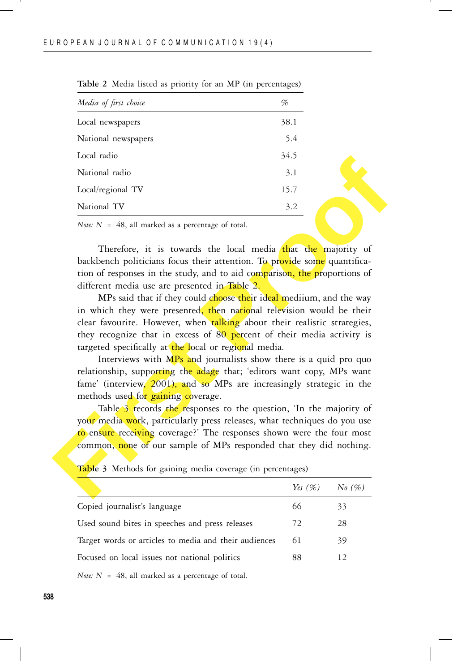| Media of first choice | %    |
|-----------------------|------|
| Local newspapers      | 38.1 |
| National newspapers   | 5.4  |
| Local radio           | 34.5 |
| National radio        | 3.1  |
| Local/regional TV     | 15.7 |
| National TV           | 3.2  |

**Table 2** Media listed as priority for an MP (in percentages)

*Note: N* = 48, all marked as a percentage of total.

Therefore, it is towards the local media that the majority of backbench politicians focus their attention. To provide some quantification of responses in the study, and to aid comparison, the proportions of different media use are presented in Table 2.

Docal ratio<br>
National radio<br>
National radio<br>  $\frac{3.1}{2}$ <br>  $\frac{1}{2}$ <br>  $\frac{1}{2}$ <br>  $\frac{1}{2}$ <br>  $\frac{1}{2}$ <br>  $\frac{1}{2}$ <br>  $\frac{1}{2}$ <br>  $\frac{1}{2}$ <br>  $\frac{1}{2}$ <br>  $\frac{1}{2}$ <br>  $\frac{1}{2}$ <br>  $\frac{1}{2}$ <br>  $\frac{1}{2}$ <br>  $\frac{1}{2}$ <br>  $\frac{1}{2}$ <br>  $\frac{1}{2}$ MPs said that if they could choose their ideal mediium, and the way in which they were presented, then national television would be their clear favourite. However, when talking about their realistic strategies, they recognize that in excess of 80 percent of their media activity is targeted specifically at the local or regional media.

Interviews with MPs and journalists show there is a quid pro quo relationship, supporting the adage that; 'editors want copy, MPs want fame' (interview, 2001), and so MPs are increasingly strategic in the methods used for gaining coverage.

Table 3 records the responses to the question, 'In the majority of your media work, particularly press releases, what techniques do you use to ensure receiving coverage?' The responses shown were the four most common, none of our sample of MPs responded that they did nothing.

|                                                       | Yes $(%$ | $N_{\theta}$ (%) |
|-------------------------------------------------------|----------|------------------|
| Copied journalist's language                          | 66       | 33               |
| Used sound bites in speeches and press releases       | 72       | 28               |
| Target words or articles to media and their audiences | 61       | 39               |
| Focused on local issues not national politics         | 88       | 12               |

**Table 3** Methods for gaining media coverage (in percentages)

*Note:*  $N = 48$ , all marked as a percentage of total.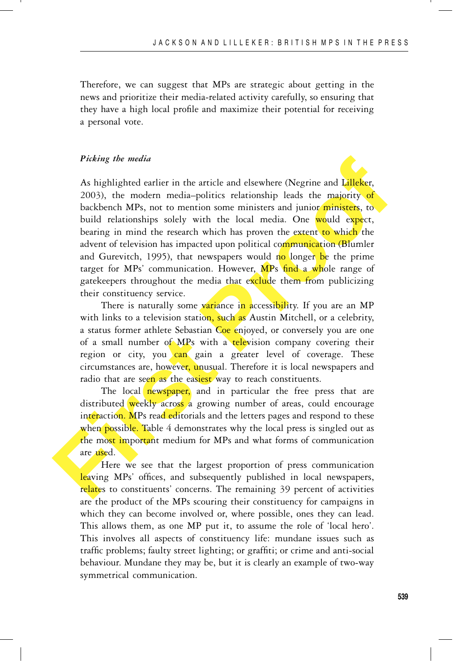Therefore, we can suggest that MPs are strategic about getting in the news and prioritize their media-related activity carefully, so ensuring that they have a high local profile and maximize their potential for receiving a personal vote.

## *Picking the media*

**Picking the media**<br>
As highlighted earlier in the article and elsewhere (Negrine and Lilleker,<br>
2003), the modern media-politics relationship leads the majority of<br>
backbench MPs, not to mention some ministers and junior As highlighted earlier in the article and elsewhere (Negrine and Lilleker, 2003), the modern media–politics relationship leads the majority of backbench MPs, not to mention some ministers and junior ministers, to build relationships solely with the local media. One would expect, bearing in mind the research which has proven the extent to which the advent of television has impacted upon political communication (Blumler and Gurevitch, 1995), that newspapers would no longer be the prime target for MPs' communication. However, MPs find a whole range of gatekeepers throughout the media that exclude them from publicizing their constituency service.

There is naturally some variance in accessibility. If you are an MP with links to a television station, such as Austin Mitchell, or a celebrity, a status former athlete Sebastian Coe enjoyed, or conversely you are one of a small number of MPs with a television company covering their region or city, you can gain a greater level of coverage. These circumstances are, however, unusual. Therefore it is local newspapers and radio that are seen as the easiest way to reach constituents.

The local newspaper, and in particular the free press that are distributed weekly across a growing number of areas, could encourage interaction. MPs read editorials and the letters pages and respond to these when possible. Table 4 demonstrates why the local press is singled out as the most important medium for MPs and what forms of communication are used.

Here we see that the largest proportion of press communication leaving MPs' offices, and subsequently published in local newspapers, relates to constituents' concerns. The remaining 39 percent of activities are the product of the MPs scouring their constituency for campaigns in which they can become involved or, where possible, ones they can lead. This allows them, as one MP put it, to assume the role of 'local hero'. This involves all aspects of constituency life: mundane issues such as traffic problems; faulty street lighting; or graffiti; or crime and anti-social behaviour. Mundane they may be, but it is clearly an example of two-way symmetrical communication.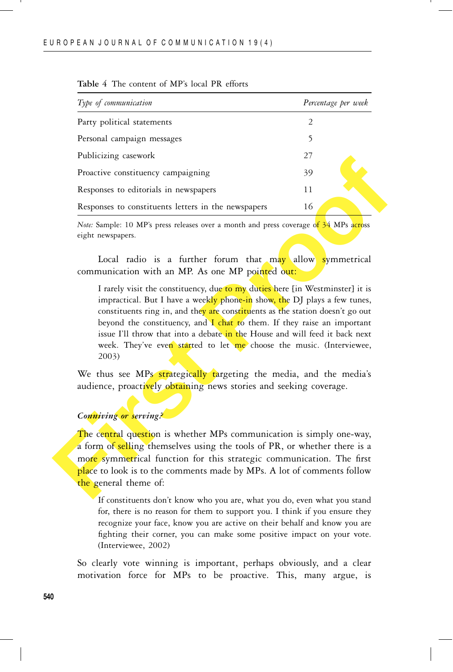| Type of communication                               | Percentage per week |  |  |
|-----------------------------------------------------|---------------------|--|--|
| Party political statements                          | $\mathcal{P}$       |  |  |
| Personal campaign messages                          | 5                   |  |  |
| Publicizing casework                                | 27                  |  |  |
| Proactive constituency campaigning                  | 39                  |  |  |
| Responses to editorials in newspapers               | 11                  |  |  |
| Responses to constituents letters in the newspapers | 16                  |  |  |

#### **Table 4** The content of MP's local PR efforts

*Note:* Sample: 10 MP's press releases over a month and press coverage of 34 MPs across eight newspapers.

Local radio is a further forum that may allow symmetrical communication with an MP. As one MP pointed out:

**Fractive constituents**<br> **Fractive constituents**<br> **Fractive constituents**<br> **Fractive constituents**<br> **Fractional Scheme Expanses to constituents letters in the newspapers<br>
<b>FRACT CONTEX PRACT CONTEX PRACT CONSTITUTION**<br> **FR** I rarely visit the constituency, due to my duties here [in Westminster] it is impractical. But I have a weekly phone-in show, the DJ plays a few tunes, constituents ring in, and they are constituents as the station doesn't go out beyond the constituency, and  $I$  chat to them. If they raise an important issue I'll throw that into a debate in the House and will feed it back next week. They've even started to let me choose the music. (Interviewee, 2003)

We thus see MPs strategically targeting the media, and the media's audience, proactively obtaining news stories and seeking coverage.

## *Conniving or serving?*

The central question is whether MPs communication is simply one-way, a form of selling themselves using the tools of PR, or whether there is a more symmetrical function for this strategic communication. The first place to look is to the comments made by MPs. A lot of comments follow the general theme of:

If constituents don't know who you are, what you do, even what you stand for, there is no reason for them to support you. I think if you ensure they recognize your face, know you are active on their behalf and know you are fighting their corner, you can make some positive impact on your vote. (Interviewee, 2002)

So clearly vote winning is important, perhaps obviously, and a clear motivation force for MPs to be proactive. This, many argue, is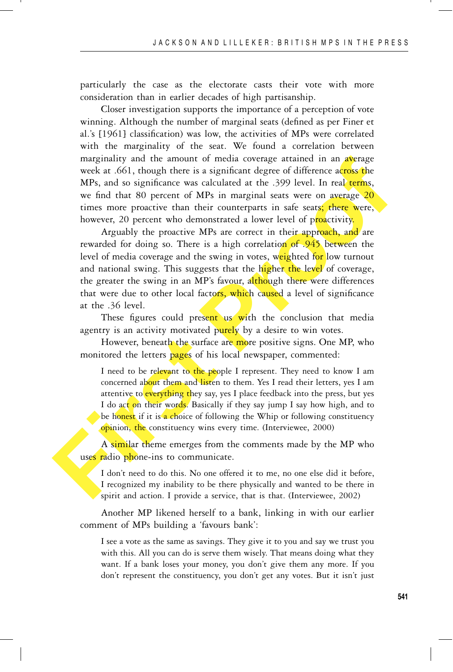particularly the case as the electorate casts their vote with more consideration than in earlier decades of high partisanship.

Closer investigation supports the importance of a perception of vote winning. Although the number of marginal seats (defined as per Finer et al.'s [1961] classification) was low, the activities of MPs were correlated with the marginality of the seat. We found a correlation between marginality and the amount of media coverage attained in an average week at .661, though there is a significant degree of difference across the MPs, and so significance was calculated at the .399 level. In real terms, we find that 80 percent of MPs in marginal seats were on average 20 times more proactive than their counterparts in safe seats; there were, however, 20 percent who demonstrated a lower level of proactivity.

marginality and the monour of media coverage attaned in an average attact<br>
week at .661, though there is a significant degree of difference across-the<br>
MPs, and so significance was calculated at the .399 level. In real ter Arguably the proactive MPs are correct in their approach, and are rewarded for doing so. There is a high correlation of .945 between the level of media coverage and the swing in votes, weighted for low turnout and national swing. This suggests that the higher the level of coverage, the greater the swing in an MP's favour, although there were differences that were due to other local factors, which caused a level of significance at the .36 level.

These figures could present us with the conclusion that media agentry is an activity motivated purely by a desire to win votes.

However, beneath the surface are more positive signs. One MP, who monitored the letters pages of his local newspaper, commented:

I need to be relevant to the people I represent. They need to know I am concerned about them and listen to them. Yes I read their letters, yes I am attentive to everything they say, yes I place feedback into the press, but yes I do act on their words. Basically if they say jump I say how high, and to be honest if it is a choice of following the Whip or following constituency opinion, the constituency wins every time. (Interviewee, 2000)

A similar theme emerges from the comments made by the MP who uses radio phone-ins to communicate.

I don't need to do this. No one offered it to me, no one else did it before, I recognized my inability to be there physically and wanted to be there in spirit and action. I provide a service, that is that. (Interviewee, 2002)

Another MP likened herself to a bank, linking in with our earlier comment of MPs building a 'favours bank':

I see a vote as the same as savings. They give it to you and say we trust you with this. All you can do is serve them wisely. That means doing what they want. If a bank loses your money, you don't give them any more. If you don't represent the constituency, you don't get any votes. But it isn't just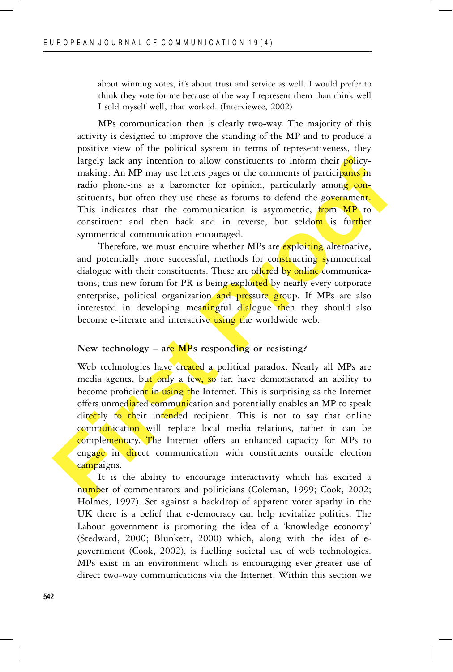about winning votes, it's about trust and service as well. I would prefer to think they vote for me because of the way I represent them than think well I sold myself well, that worked. (Interviewee, 2002)

MPs communication then is clearly two-way. The majority of this activity is designed to improve the standing of the MP and to produce a positive view of the political system in terms of representiveness, they largely lack any intention to allow constituents to inform their policymaking. An MP may use letters pages or the comments of participants in radio phone-ins as a barometer for opinion, particularly among constituents, but often they use these as forums to defend the government. This indicates that the communication is asymmetric, from MP to constituent and then back and in reverse, but seldom is further symmetrical communication encouraged.

Therefore, we must enquire whether MPs are exploiting alternative, and potentially more successful, methods for constructing symmetrical dialogue with their constituents. These are offered by online communications; this new forum for PR is being exploited by nearly every corporate enterprise, political organization and pressure group. If MPs are also interested in developing meaningful dialogue then they should also become e-literate and interactive using the worldwide web.

## **New technology – are MPs responding or resisting?**

largely lack any intention to allow constituents to inform their policy-<br>making. An MP may use letters rages or the comments of participants in<br>radio phone-ins as a barometer for opinion, particularly among con-<br>stituents, Web technologies have created a political paradox. Nearly all MPs are media agents, but only a few, so far, have demonstrated an ability to become proficient in using the Internet. This is surprising as the Internet offers unmediated communication and potentially enables an MP to speak directly to their intended recipient. This is not to say that online communication will replace local media relations, rather it can be complementary. The Internet offers an enhanced capacity for MPs to engage in direct communication with constituents outside election campaigns.

It is the ability to encourage interactivity which has excited a number of commentators and politicians (Coleman, 1999; Cook, 2002; Holmes, 1997). Set against a backdrop of apparent voter apathy in the UK there is a belief that e-democracy can help revitalize politics. The Labour government is promoting the idea of a 'knowledge economy' (Stedward, 2000; Blunkett, 2000) which, along with the idea of egovernment (Cook, 2002), is fuelling societal use of web technologies. MPs exist in an environment which is encouraging ever-greater use of direct two-way communications via the Internet. Within this section we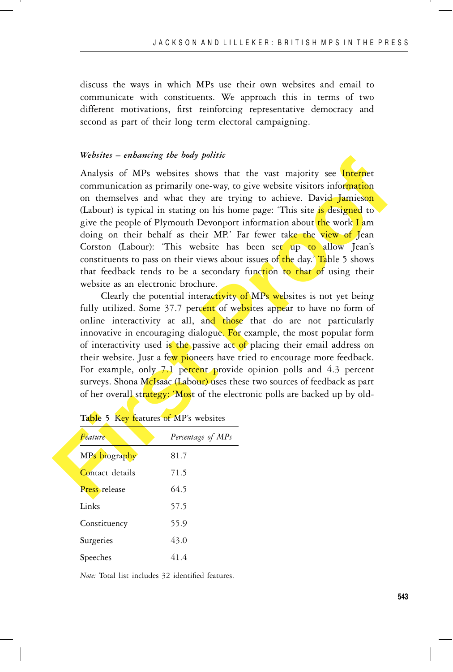discuss the ways in which MPs use their own websites and email to communicate with constituents. We approach this in terms of two different motivations, first reinforcing representative democracy and second as part of their long term electoral campaigning.

#### *Websites – enhancing the body politic*

**Firstnally the bouty point of the vast majority see Internet**<br> **Finally** and MPs websites shows that the vast majority see Internet<br>
communication as primarily one-way, to give website visitors information<br>
on themselves Analysis of MPs websites shows that the vast majority see Internet communication as primarily one-way, to give website visitors information on themselves and what they are trying to achieve. David Jamieson (Labour) is typical in stating on his home page: 'This site is designed to give the people of Plymouth Devonport information about the work I am doing on their behalf as their MP.' Far fewer take the view of Jean Corston (Labour): 'This website has been set up to allow Jean's constituents to pass on their views about issues of the day.' Table 5 shows that feedback tends to be a secondary function to that of using their website as an electronic brochure.

Clearly the potential interactivity of MPs websites is not yet being fully utilized. Some 37.7 percent of websites appear to have no form of online interactivity at all, and those that do are not particularly innovative in encouraging dialogue. For example, the most popular form of interactivity used is the passive act of placing their email address on their website. Just a few pioneers have tried to encourage more feedback. For example, only 7.1 percent provide opinion polls and 4.3 percent surveys. Shona McIsaac (Labour) uses these two sources of feedback as part of her overall strategy: 'Most of the electronic polls are backed up by old-

| Feature         | Percentage of MPs |
|-----------------|-------------------|
| MPs biography   | 81.7              |
| Contact details | 71.5              |
| Press release   | 64.5              |
| Links           | 57.5              |
| Constituency    | 55.9              |
| Surgeries       | 43.0              |
| Speeches        | 41.4              |

|  |  |  |  | Table 5 Key features of MP's websites |  |
|--|--|--|--|---------------------------------------|--|
|--|--|--|--|---------------------------------------|--|

*Note:* Total list includes 32 identified features.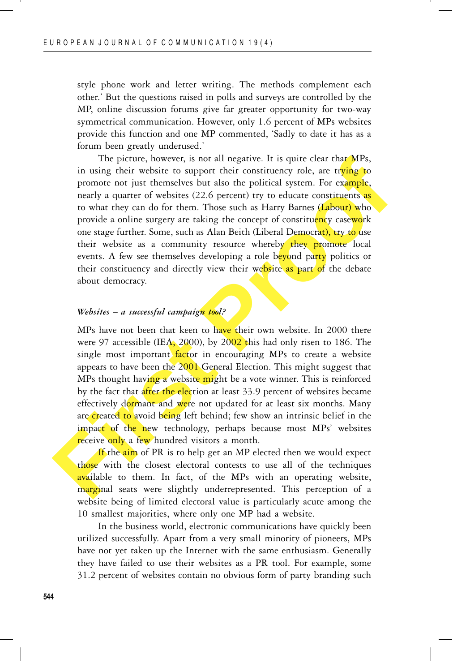style phone work and letter writing. The methods complement each other.' But the questions raised in polls and surveys are controlled by the MP, online discussion forums give far greater opportunity for two-way symmetrical communication. However, only 1.6 percent of MPs websites provide this function and one MP commented, 'Sadly to date it has as a forum been greatly underused.'

The proture, however, is not all negative. It is quite clear that MPs,<br>in using their website to supsport their constituency role, are trying-to<br>promote not just themselves but also the policical system. For example,<br>nearl The picture, however, is not all negative. It is quite clear that MPs, in using their website to support their constituency role, are trying to promote not just themselves but also the political system. For example, nearly a quarter of websites (22.6 percent) try to educate constituents as to what they can do for them. Those such as Harry Barnes (Labour) who provide a online surgery are taking the concept of constituency casework one stage further. Some, such as Alan Beith (Liberal Democrat), try to use their website as a community resource whereby they promote local events. A few see themselves developing a role beyond party politics or their constituency and directly view their website as part of the debate about democracy.

# *Websites – a successful campaign tool?*

MPs have not been that keen to have their own website. In 2000 there were 97 accessible (IEA, 2000), by 2002 this had only risen to 186. The single most important factor in encouraging MPs to create a website appears to have been the 2001 General Election. This might suggest that MPs thought having a website might be a vote winner. This is reinforced by the fact that after the election at least 33.9 percent of websites became effectively dormant and were not updated for at least six months. Many are created to avoid being left behind; few show an intrinsic belief in the impact of the new technology, perhaps because most MPs' websites receive only a few hundred visitors a month.

If the aim of PR is to help get an MP elected then we would expect those with the closest electoral contests to use all of the techniques available to them. In fact, of the MPs with an operating website, marginal seats were slightly underrepresented. This perception of a website being of limited electoral value is particularly acute among the 10 smallest majorities, where only one MP had a website.

In the business world, electronic communications have quickly been utilized successfully. Apart from a very small minority of pioneers, MPs have not yet taken up the Internet with the same enthusiasm. Generally they have failed to use their websites as a PR tool. For example, some 31.2 percent of websites contain no obvious form of party branding such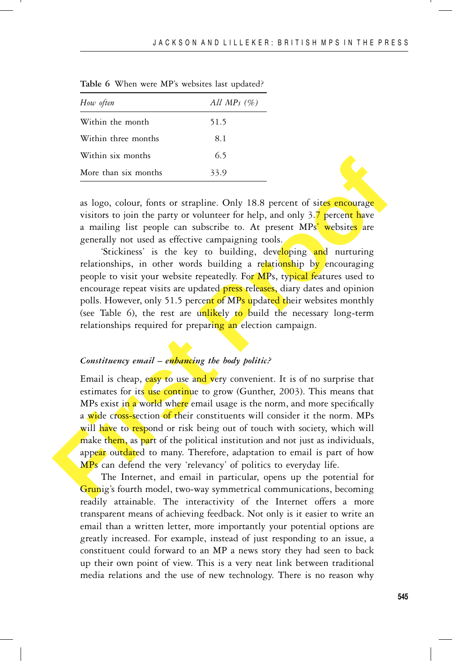| How often            | All MPs $(\%)$ |
|----------------------|----------------|
| Within the month     | 51.5           |
| Within three months  | 8.1            |
| Within six months    | 6.5            |
| More than six months | 33.9           |

**Table 6** When were MP's websites last updated?

as logo, colour, fonts or strapline. Only 18.8 percent of sites encourage visitors to join the party or volunteer for help, and only 3.7 percent have a mailing list people can subscribe to. At present MPs' websites are generally not used as effective campaigning tools.

'Stickiness' is the key to building, developing and nurturing relationships, in other words building a relationship by encouraging people to visit your website repeatedly. For MPs, typical features used to encourage repeat visits are updated press releases, diary dates and opinion polls. However, only 51.5 percent of MPs updated their websites monthly (see Table 6), the rest are unlikely to build the necessary long-term relationships required for preparing an election campaign.

## *Constituency email – enhancing the body politic?*

More than six months 353.9<br>
The languary of the party or volunteer for help, and only 3.7 percent favores<br>
as logo, colour, fonts or strapline. Only 18.8 percent of sites encourage<br>
visitors to join the party or volunteer Email is cheap, easy to use and very convenient. It is of no surprise that estimates for its use continue to grow (Gunther, 2003). This means that MPs exist in a world where email usage is the norm, and more specifically a wide cross-section of their constituents will consider it the norm. MPs will have to respond or risk being out of touch with society, which will make them, as part of the political institution and not just as individuals, appear outdated to many. Therefore, adaptation to email is part of how MPs can defend the very 'relevancy' of politics to everyday life.

The Internet, and email in particular, opens up the potential for Grunig's fourth model, two-way symmetrical communications, becoming readily attainable. The interactivity of the Internet offers a more transparent means of achieving feedback. Not only is it easier to write an email than a written letter, more importantly your potential options are greatly increased. For example, instead of just responding to an issue, a constituent could forward to an MP a news story they had seen to back up their own point of view. This is a very neat link between traditional media relations and the use of new technology. There is no reason why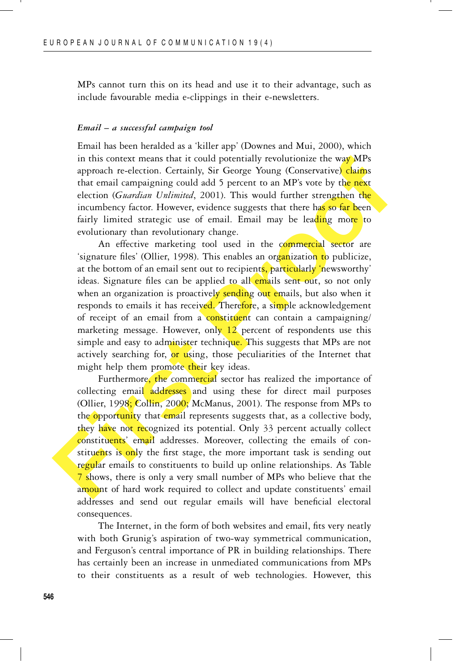MPs cannot turn this on its head and use it to their advantage, such as include favourable media e-clippings in their e-newsletters.

#### *Email – a successful campaign tool*

Email has been heralded as a 'killer app' (Downes and Mui, 2000), which in this context means that it could potentially revolutionize the way MPs approach re-election. Certainly, Sir George Young (Conservative) claims that email campaigning could add 5 percent to an MP's vote by the next election (*Guardian Unlimited*, 2001). This would further strengthen the incumbency factor. However, evidence suggests that there has so far been fairly limited strategic use of email. Email may be leading more to evolutionary than revolutionary change.

In this context means that it could potentially revolutionize the way M<sup>H</sup>s approach re-election. Certainly, Sir George Young (Conservative**)** claims that email campaigning could add 5 percent to an MP's vote by the next e An effective marketing tool used in the commercial sector are 'signature files' (Ollier, 1998). This enables an organization to publicize, at the bottom of an email sent out to recipients, particularly 'newsworthy' ideas. Signature files can be applied to all emails sent out, so not only when an organization is proactively sending out emails, but also when it responds to emails it has received. Therefore, a simple acknowledgement of receipt of an email from a constituent can contain a campaigning/ marketing message. However, only 12 percent of respondents use this simple and easy to administer technique. This suggests that MPs are not actively searching for, or using, those peculiarities of the Internet that might help them promote their key ideas.

Furthermore, the commercial sector has realized the importance of collecting email addresses and using these for direct mail purposes (Ollier, 1998; Collin, 2000; McManus, 2001). The response from MPs to the opportunity that email represents suggests that, as a collective body, they have not recognized its potential. Only 33 percent actually collect constituents' email addresses. Moreover, collecting the emails of constituents is only the first stage, the more important task is sending out regular emails to constituents to build up online relationships. As Table 7 shows, there is only a very small number of MPs who believe that the amount of hard work required to collect and update constituents' email addresses and send out regular emails will have beneficial electoral consequences.

The Internet, in the form of both websites and email, fits very neatly with both Grunig's aspiration of two-way symmetrical communication, and Ferguson's central importance of PR in building relationships. There has certainly been an increase in unmediated communications from MPs to their constituents as a result of web technologies. However, this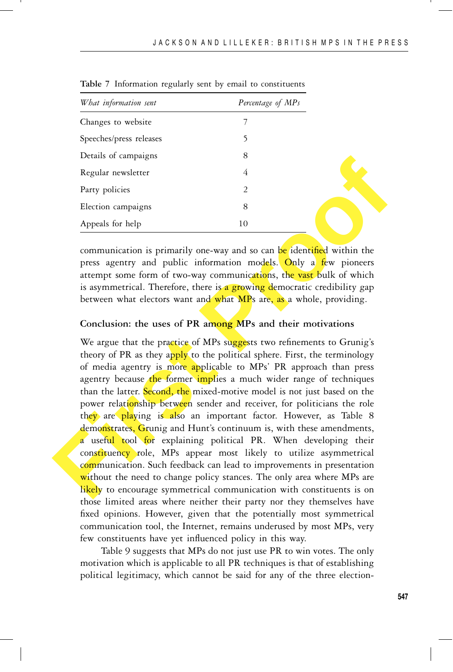| What information sent   | Percentage of MPs |
|-------------------------|-------------------|
| Changes to website      |                   |
| Speeches/press releases | 5                 |
| Details of campaigns    | 8                 |
| Regular newsletter      | 4                 |
| Party policies          | $\mathcal{L}$     |
| Election campaigns      | 8                 |
| Appeals for help        | 10                |

**Table 7** Information regularly sent by email to constituents

communication is primarily one-way and so can be identified within the press agentry and public information models. Only a few pioneers attempt some form of two-way communications, the vast bulk of which is asymmetrical. Therefore, there is a growing democratic credibility gap between what electors want and what MPs are, as a whole, providing.

# **Conclusion: the uses of PR among MPs and their motivations**

**Figure Invistment Controlling Controlling Controlling Controlling Controlling Controlling Controlling Controlling Controlling Controlling Controlling Controlling Controlling Service attempt some form of two-way communicat** We argue that the practice of MPs suggests two refinements to Grunig's theory of PR as they apply to the political sphere. First, the terminology of media agentry is more applicable to MPs' PR approach than press agentry because the former implies a much wider range of techniques than the latter. Second, the mixed-motive model is not just based on the power relationship between sender and receiver, for politicians the role they are playing is also an important factor. However, as Table 8 demonstrates, Grunig and Hunt's continuum is, with these amendments, a useful tool for explaining political PR. When developing their constituency role, MPs appear most likely to utilize asymmetrical communication. Such feedback can lead to improvements in presentation without the need to change policy stances. The only area where MPs are likely to encourage symmetrical communication with constituents is on those limited areas where neither their party nor they themselves have fixed opinions. However, given that the potentially most symmetrical communication tool, the Internet, remains underused by most MPs, very few constituents have yet influenced policy in this way.

Table 9 suggests that MPs do not just use PR to win votes. The only motivation which is applicable to all PR techniques is that of establishing political legitimacy, which cannot be said for any of the three election-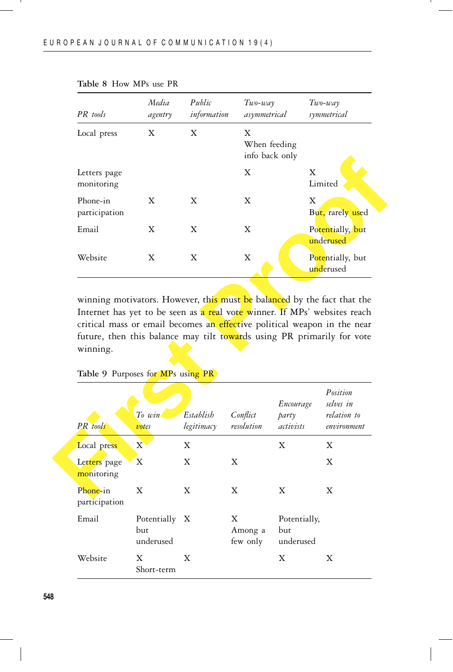| PR tools                                              | Media<br>agentry  | Public<br>information | Two-way<br>asymmetrical |                                | $Two-way$<br>symmetrical                                                                                                                                                                                                                                                                                   |
|-------------------------------------------------------|-------------------|-----------------------|-------------------------|--------------------------------|------------------------------------------------------------------------------------------------------------------------------------------------------------------------------------------------------------------------------------------------------------------------------------------------------------|
| Local press                                           | X                 | X                     | X                       | When feeding<br>info back only |                                                                                                                                                                                                                                                                                                            |
| Letters page<br>monitoring                            |                   |                       | X                       |                                | X<br>Limited                                                                                                                                                                                                                                                                                               |
| Phone-in<br>participation                             | X                 | X                     | X                       |                                | X<br>But, rarely used                                                                                                                                                                                                                                                                                      |
| Email                                                 | X                 | X                     | X                       |                                | Potentially, but<br>underused                                                                                                                                                                                                                                                                              |
| Website                                               | X                 | X                     | X                       |                                | Potentially, but                                                                                                                                                                                                                                                                                           |
|                                                       |                   |                       |                         |                                | underused                                                                                                                                                                                                                                                                                                  |
|                                                       |                   |                       |                         |                                | winning motivators. However, this must be balanced by the fact that the<br>Internet has yet to be seen as a real vote winner. If MPs' websites reach<br>critical mass or email becomes an effective political weapon in the near<br>future, then this balance may tilt towards using PR primarily for vote |
| winning.<br>Table 9 Purposes for MPs using PR         | To win            | Establish             | Conflict                | Encourage<br>party             | Position<br>selves in<br>relation to                                                                                                                                                                                                                                                                       |
|                                                       | votes             | legitimacy            | resolution              | activists                      |                                                                                                                                                                                                                                                                                                            |
| PR tools<br>Local press<br>Letters page<br>monitoring | X<br>$\mathbf{X}$ | X<br>X                | $\mathbf{X}$            | X                              | environment<br>X<br>X                                                                                                                                                                                                                                                                                      |

## **Table 8** How MPs use PR

 $\mathbf{I}$ 

## **Table 9** Purposes for MPs using PR

| PR tools                   | To win<br>votes                   | Establish<br>legitimacy | Conflict<br>resolution   | Encourage<br>party<br>activists  | Position<br>selves in<br>relation to<br>environment |
|----------------------------|-----------------------------------|-------------------------|--------------------------|----------------------------------|-----------------------------------------------------|
| Local press                | $\mathbf{X}$                      | X                       |                          | X                                | X                                                   |
| Letters page<br>monitoring | X                                 | X                       | X                        |                                  | X                                                   |
| Phone-in<br>participation  | X                                 | X                       | X                        | X                                | X                                                   |
| Email                      | Potentially X<br>but<br>underused |                         | X<br>Among a<br>few only | Potentially,<br>but<br>underused |                                                     |
| Website                    | X<br>Short-term                   | X                       |                          | X                                | X                                                   |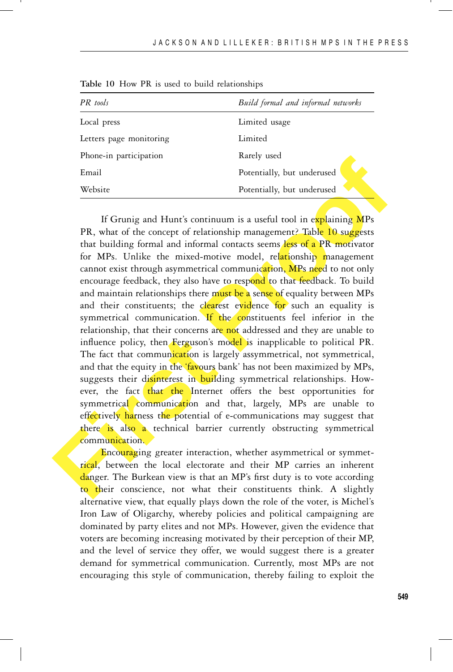| PR tools                | Build formal and informal networks |
|-------------------------|------------------------------------|
| Local press             | Limited usage                      |
| Letters page monitoring | Limited                            |
| Phone-in participation  | Rarely used                        |
| Email                   | Potentially, but underused         |
| Website                 | Potentially, but underused         |

**Table 10** How PR is used to build relationships

Finale<sup>r</sup> minicipation<br>
From participation<br>
From participation<br>
From participation<br>
Forestially, but undertased<br>
Potentially, but undertased<br>
Potentially, but undertased<br>
PR, what of the concept of relationship management? If Grunig and Hunt's continuum is a useful tool in explaining MPs PR, what of the concept of relationship management? Table 10 suggests that building formal and informal contacts seems less of a PR motivator for MPs. Unlike the mixed-motive model, relationship management cannot exist through asymmetrical communication, MPs need to not only encourage feedback, they also have to respond to that feedback. To build and maintain relationships there must be a sense of equality between MPs and their constituents; the *clearest evidence* for such an equality is symmetrical communication. If the constituents feel inferior in the relationship, that their concerns are not addressed and they are unable to influence policy, then Ferguson's model is inapplicable to political PR. The fact that communication is largely assymmetrical, not symmetrical, and that the equity in the 'favours bank' has not been maximized by MPs, suggests their disinterest in building symmetrical relationships. However, the fact that the Internet offers the best opportunities for symmetrical communication and that, largely, MPs are unable to effectively harness the potential of e-communications may suggest that there is also a technical barrier currently obstructing symmetrical communication.

Encouraging greater interaction, whether asymmetrical or symmetrical, between the local electorate and their MP carries an inherent danger. The Burkean view is that an MP's first duty is to vote according to their conscience, not what their constituents think. A slightly alternative view, that equally plays down the role of the voter, is Michel's Iron Law of Oligarchy, whereby policies and political campaigning are dominated by party elites and not MPs. However, given the evidence that voters are becoming increasing motivated by their perception of their MP, and the level of service they offer, we would suggest there is a greater demand for symmetrical communication. Currently, most MPs are not encouraging this style of communication, thereby failing to exploit the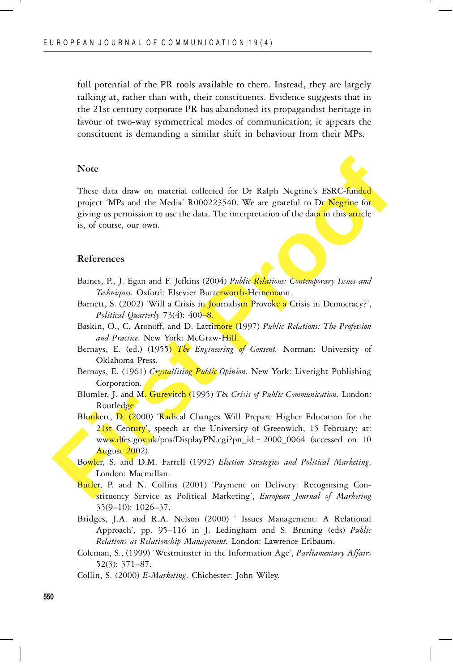full potential of the PR tools available to them. Instead, they are largely talking at, rather than with, their constituents. Evidence suggests that in the 21st century corporate PR has abandoned its propagandist heritage in favour of two-way symmetrical modes of communication; it appears the constituent is demanding a similar shift in behaviour from their MPs.

## **Note**

Note<br>
These data draw on material collected for Dr Ralph Negrine's ESRC-funded<br>
project 'MPs and the Media' R000223540. We are grateful to Dr Negrine for<br>
giving us premission to use the data. The interpretation of the dat These data draw on material collected for Dr Ralph Negrine's ESRC-funded project 'MPs and the Media' R000223540. We are grateful to Dr Negrine for giving us permission to use the data. The interpretation of the data in this article is, of course, our own.

#### **References**

- Baines, P., J. Egan and F. Jefkins (2004) *Public Relations: Contemporary Issues and Techniques.* Oxford: Elsevier Butterworth-Heinemann.
- Barnett, S. (2002) 'Will a Crisis in Journalism Provoke a Crisis in Democracy?', *Political Quarterly* 73(4): 400–8.
- Baskin, O., C. Aronoff, and D. Lattimore (1997) *Public Relations: The Profession and Practice.* New York: McGraw-Hill.
- Bernays, E. (ed.) (1955) *The Engineering of Consent.* Norman: University of Oklahoma Press.
- Bernays, E. (1961) *Crystallising Public Opinion.* New York: Liveright Publishing Corporation.
- Blumler, J. and M. Gurevitch (1995) *The Crisis of Public Communication*. London: Routledge.
- Blunkett, D. (2000) 'Radical Changes Will Prepare Higher Education for the 21st Century', speech at the University of Greenwich, 15 February; at: www.dfes.gov.uk/pns/DisplayPN.cgi?pn\_id = 2000\_0064 (accessed on 10 August 2002).
- Bowler, S. and D.M. Farrell (1992) *Election Strategies and Political Marketing*. London: Macmillan.
- Butler, P. and N. Collins (2001) 'Payment on Delivery: Recognising Constituency Service as Political Marketing', *European Journal of Marketing* 35(9–10): 1026–37.
- Bridges, J.A. and R.A. Nelson (2000) ' Issues Management: A Relational Approach', pp. 95–116 in J. Ledingham and S. Bruning (eds) *Public Relations as Relationship Management.* London: Lawrence Erlbaum.
- Coleman, S., (1999) 'Westminster in the Information Age', *Parliamentary Affairs* 52(3): 371–87.

Collin, S. (2000) *E-Marketing*. Chichester: John Wiley.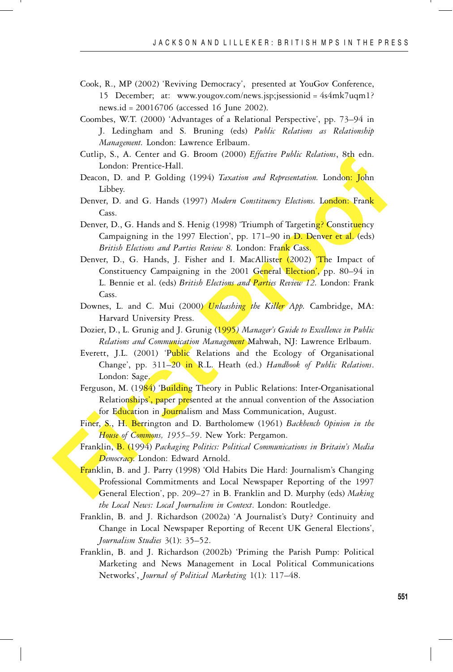- Cook, R., MP (2002) 'Reviving Democracy', presented at YouGov Conference, 15 December; at: www.yougov.com/news.jsp;jsessionid = 4s4mk7uqm1? news.id = 20016706 (accessed 16 June 2002).
- Coombes, W.T. (2000) 'Advantages of a Relational Perspective', pp. 73–94 in J. Ledingham and S. Bruning (eds) *Public Relations as Relationship Management.* London: Lawrence Erlbaum.
- Cutlip, S., A. Center and G. Broom (2000) *Effective Public Relations*, 8th edn. London: Prentice-Hall.
- Deacon, D. and P. Golding (1994) *Taxation and Representation.* London: John Libbey.
- Denver, D. and G. Hands (1997) *Modern Constituency Elections.* London: Frank Cass.
- Denver, D., G. Hands and S. Henig (1998) 'Triumph of Targeting? Constituency Campaigning in the 1997 Election', pp. 171-90 in D. Denver et al. (eds) *British Elections and Parties Review 8.* London: Frank Cass.
- London: Prentice-Hall.<br>
Deach, Prentice-Hall.<br>
Deach, Prentice-Hall.<br>
Deach, Prentice-Hall.<br>
Deach, Prentice-Hall.<br>
Deach, The B. Golding (1994) *Taxation and Repreentation*. London: John<br>
Libbey.<br>
Cass.<br>
Denver, D., G. Ha Denver, D., G. Hands, J. Fisher and I. MacAllister (2002) The Impact of Constituency Campaigning in the 2001 General Election', pp. 80-94 in L. Bennie et al. (eds) *British Elections and Parties Review 12.* London: Frank Cass.
	- Downes, L. and C. Mui (2000) *Unleashing the Killer App.* Cambridge, MA: Harvard University Press.
	- Dozier, D., L. Grunig and J. Grunig (1995*) Manager's Guide to Excellence in Public Relations and Communication Management* Mahwah, NJ: Lawrence Erlbaum.
	- Everett, J.L. (2001) 'Public Relations and the Ecology of Organisational Change', pp. 311–20 in R.L. Heath (ed.) *Handbook of Public Relations*. London: Sage.
	- Ferguson, M. (1984) 'Building Theory in Public Relations: Inter-Organisational Relationships', paper presented at the annual convention of the Association for Education in Journalism and Mass Communication, August.
	- Finer, S., H. Berrington and D. Bartholomew (1961) *Backbench Opinion in the House of Commons, 1955–59*. New York: Pergamon.
	- Franklin, B. (1994) *Packaging Politics: Political Communications in Britain's Media Democracy*. London: Edward Arnold.
	- Franklin, B. and J. Parry (1998) 'Old Habits Die Hard: Journalism's Changing Professional Commitments and Local Newspaper Reporting of the 1997 General Election', pp. 209–27 in B. Franklin and D. Murphy (eds) *Making the Local News: Local Journalism in Context*. London: Routledge.
	- Franklin, B. and J. Richardson (2002a) 'A Journalist's Duty? Continuity and Change in Local Newspaper Reporting of Recent UK General Elections', *Journalism Studies* 3(1): 35–52.
	- Franklin, B. and J. Richardson (2002b) 'Priming the Parish Pump: Political Marketing and News Management in Local Political Communications Networks', *Journal of Political Marketing* 1(1): 117–48.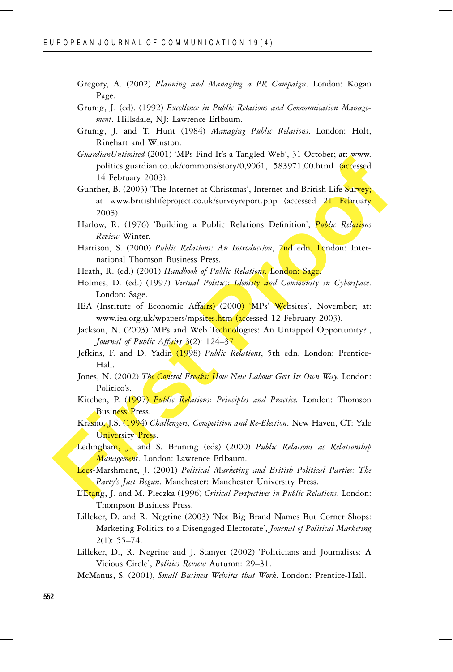- Gregory, A. (2002) *Planning and Managing a PR Campaign*. London: Kogan Page.
- Grunig, J. (ed). (1992) *Excellence in Public Relations and Communication Management*. Hillsdale, NJ: Lawrence Erlbaum.
- Grunig, J. and T. Hunt (1984) *Managing Public Relations*. London: Holt, Rinehart and Winston.
- *GuardianUnlimited* (2001) 'MPs Find It's a Tangled Web', 31 October; at: www. politics.guardian.co.uk/commons/story/0,9061, 583971,00.html (accessed 14 February 2003).
- **First Protocology Art Consumer States (2010)**<br> **First Protocology (1990)**<br> **First Proof** (1990). The Internet at Christmas', Internet and British Life Survey;<br>
at www.britishlifeproject.co.uk/survey.eport.php (accessed 21 Gunther, B. (2003) 'The Internet at Christmas', Internet and British Life Survey; at www.britishlifeproject.co.uk/surveyreport.php (accessed 21 February 2003).
	- Harlow, R. (1976) 'Building a Public Relations Definition', *Public Relations Review* Winter.
	- Harrison, S. (2000) *Public Relations: An Introduction*, 2nd edn. London: International Thomson Business Press.
	- Heath, R. (ed.) (2001) *Handbook of Public Relations*. London: Sage.
	- Holmes, D. (ed.) (1997) *Virtual Politics: Identity and Community in Cyberspace*. London: Sage.
	- IEA (Institute of Economic Affairs) (2000) 'MPs' Websites', November; at: www.iea.org.uk/wpapers/mpsites.htm (accessed 12 February 2003).
	- Jackson, N. (2003) 'MPs and Web Technologies: An Untapped Opportunity?', *Journal of Public Affairs* 3(2): 124–37.
	- Jefkins, F. and D. Yadin (1998) *Public Relations*, 5th edn. London: Prentice-Hall.
	- Jones, N. (2002) *The Control Freaks: How New Labour Gets Its Own Way*. London: Politico's.
	- Kitchen, P. (1997) *Public Relations: Principles and Practice.* London: Thomson Business Press.
	- Krasno, J.S. (1994) *Challengers, Competition and Re-Election*. New Haven, CT: Yale University Press.
	- Ledingham, J. and S. Bruning (eds) (2000) *Public Relations as Relationship Management*. London: Lawrence Erlbaum.
	- Lees-Marshment, J. (2001) *Political Marketing and British Political Parties: The Party's Just Begun*. Manchester: Manchester University Press.
	- L'Etang, J. and M. Pieczka (1996) *Critical Perspectives in Public Relations*. London: Thompson Business Press.
	- Lilleker, D. and R. Negrine (2003) 'Not Big Brand Names But Corner Shops: Marketing Politics to a Disengaged Electorate', *Journal of Political Marketing* 2(1): 55–74.
	- Lilleker, D., R. Negrine and J. Stanyer (2002) 'Politicians and Journalists: A Vicious Circle', *Politics Review* Autumn: 29–31.
	- McManus, S. (2001), *Small Business Websites that Work*. London: Prentice-Hall.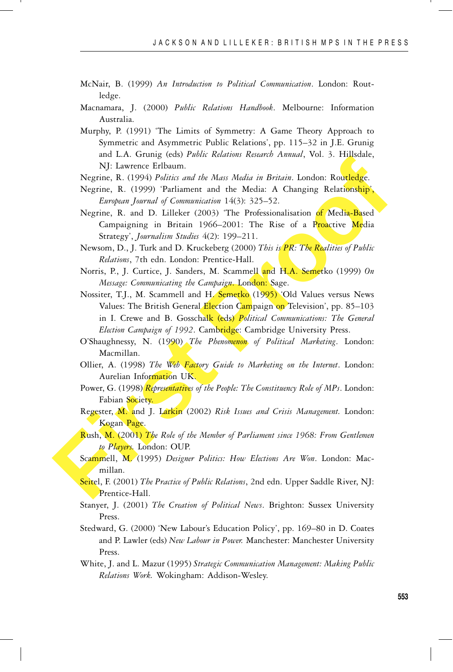- McNair, B. (1999) *An Introduction to Political Communication*. London: Routledge.
- Macnamara, J. (2000) *Public Relations Handbook*. Melbourne: Information Australia.
- Murphy, P. (1991) 'The Limits of Symmetry: A Game Theory Approach to Symmetric and Asymmetric Public Relations', pp. 115–32 in J.E. Grunig and L.A. Grunig (eds) *Public Relations Research Annual*, Vol. 3. Hillsdale, NJ: Lawrence Erlbaum.
- Negrine, R. (1994) *Politics and the Mass Media in Britain*. London: Routledge.
- Negrine, R. (1999) 'Parliament and the Media: A Changing Relationship', *European Journal of Communication* 14(3): 325–52.
- Negrine, R. and D. Lilleker (2003) 'The Professionalisation of Media-Based Campaigning in Britain 1966–2001: The Rise of a Proactive Media Strategy', *Journalism Studies* 4(2): 199–211.
- Newsom, D., J. Turk and D. Kruckeberg (2000) *This is PR: The Realities of Public Relations*, 7th edn. London: Prentice-Hall.
- Norris, P., J. Curtice, J. Sanders, M. Scammell and H.A. Semetko (1999) *On Message: Communicating the Campaign*. London: Sage.
- **Fig. (A. (1994)** Palitics and the Mass Media in Britain, Neyther, R. (1999) Parliament and the Media in Changing Relations.<br>
Neyther, R. (1994) Parliament and the Media: A Changing Relationship<br>
Regnine, R. (1999) Parliam Nossiter, T.J., M. Scammell and H. Semetko (1995) 'Old Values versus News Values: The British General Election Campaign on Television', pp. 85–103 in I. Crewe and B. Gosschalk (eds) *Political Communications: The General Election Campaign of 1992*. Cambridge: Cambridge University Press.
	- O'Shaughnessy, N. (1990) *The Phenomenon of Political Marketing*. London: Macmillan.
	- Ollier, A. (1998) *The Web Factory Guide to Marketing on the Internet*. London: Aurelian Information UK.
	- Power, G. (1998) *Representatives of the People: The Constituency Role of MPs*. London: Fabian Society.
	- Regester, M. and J. Larkin (2002) *Risk Issues and Crisis Management.* London: Kogan Page.
	- Rush, M. (2001) *The Role of the Member of Parliament since 1968: From Gentlemen to Players.* London: OUP.
	- Scammell, M. (1995) *Designer Politics: How Elections Are Won*. London: Macmillan.
	- Seitel, F. (2001) *The Practice of Public Relations*, 2nd edn. Upper Saddle River, NJ: Prentice-Hall.
	- Stanyer, J. (2001) *The Creation of Political News*. Brighton: Sussex University Press.
	- Stedward, G. (2000) 'New Labour's Education Policy', pp. 169–80 in D. Coates and P. Lawler (eds) *New Labour in Power.* Manchester: Manchester University Press.
	- White, J. and L. Mazur (1995) *Strategic Communication Management: Making Public Relations Work.* Wokingham: Addison-Wesley.